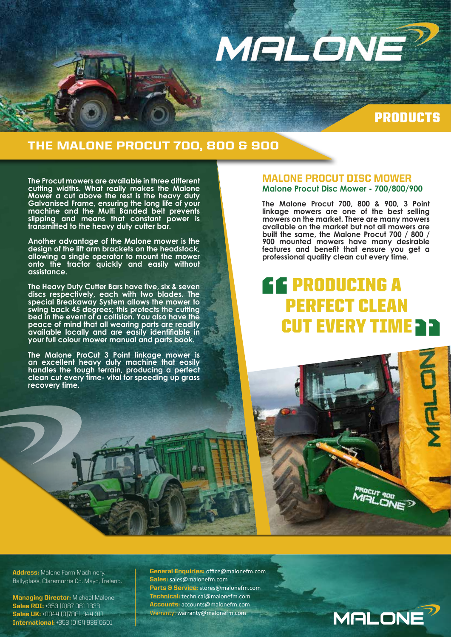

## PRODUCTS

## THE MALONE PROCUT 700, 800 & 900

**The Procut mowers are available in three different cutting widths. What really makes the Malone Mower a cut above the rest is the heavy duty Galvanised Frame, ensuring the long life of your machine and the Multi Banded belt prevents slipping and means that constant power is transmitted to the heavy duty cutter bar.** 

**Another advantage of the Malone mower is the design of the lift arm brackets on the headstock, allowing a single operator to mount the mower onto the tractor quickly and easily without assistance.**

**The Heavy Duty Cutter Bars have five, six & seven discs respectively, each with two blades. The special Breakaway System allows the mower to swing back 45 degrees; this protects the cutting bed in the event of a collision. You also have the peace of mind that all wearing parts are readily available locally and are easily identifiable in your full colour mower manual and parts book.** 

**The Malone ProCut 3 Point linkage mower is an excellent heavy duty machine that easily handles the tough terrain, producing a perfect clean cut every time- vital for speeding up grass recovery time.**

#### MALONE PROCUT DISC MOWER **Malone Procut Disc Mower - 700/800/900**

**The Malone Procut 700, 800 & 900, 3 Point linkage mowers are one of the best selling mowers on the market. There are many mowers available on the market but not all mowers are built the same, the Malone Procut 700 / 800 / 900 mounted mowers have many desirable features and benefit that ensure you get a professional quality clean cut every time.**

# PRODUCING A PERFECT CLEAN " CUT EVERY TIME **a a**



Address: Malone Farm Machinery, Ballyglass, Claremorris Co. Mayo, Ireland.

**Managing Director:** Michael Malone Sales ROI: +353 (0)87 061 1333 Sales UK: +0044 (0)7881 344 311 International: +353 (0)94 936 0501

General Enquiries: office@malonefm.com Sales: sales@malonefm.com Parts & Service: stores@malonefm.com Technical: technical@malonefm.com Accounts: accounts@malonefm.com Warranty: warranty@malonefm.com

**MALONE**